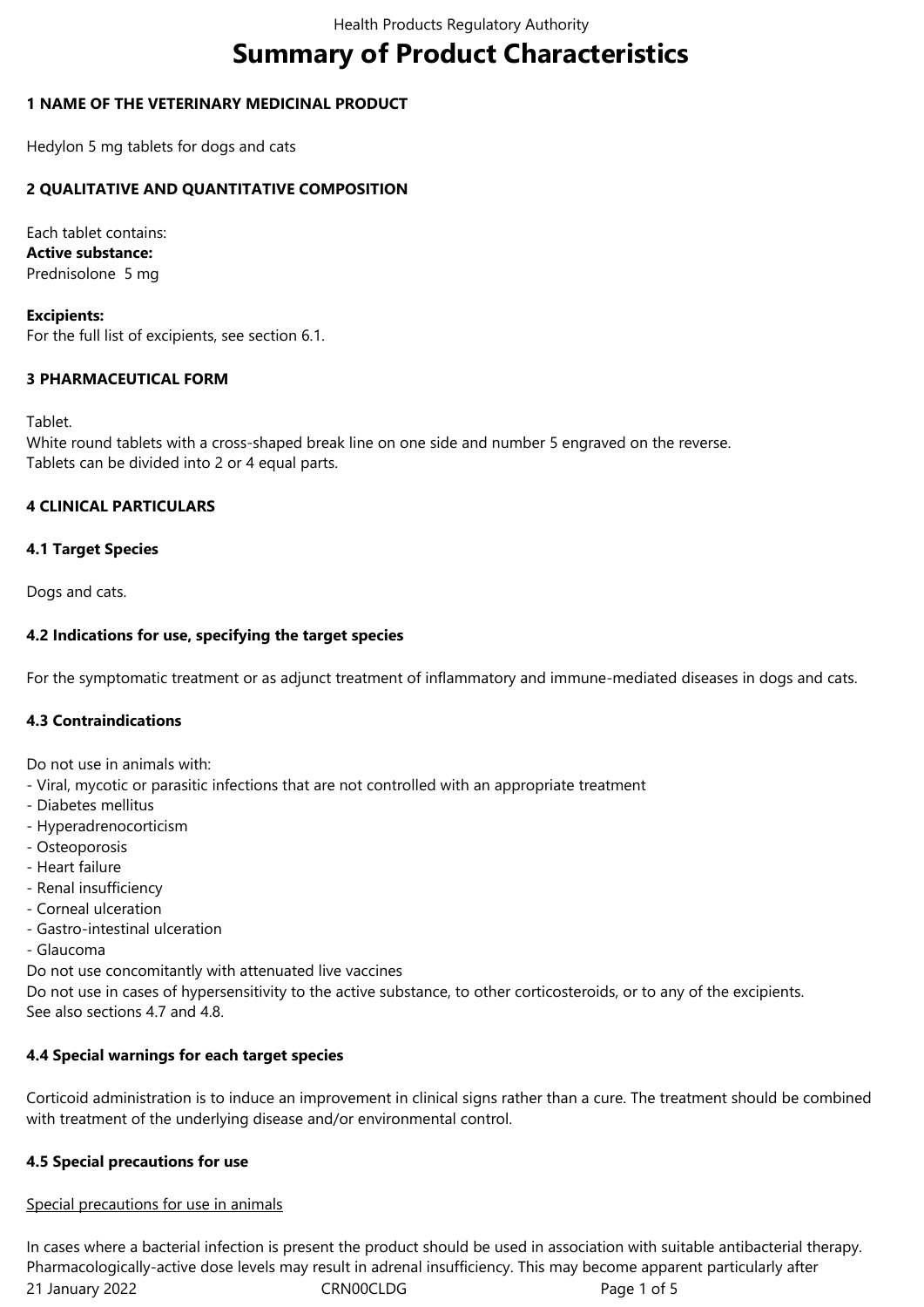# **Summary of Product Characteristics**

# **1 NAME OF THE VETERINARY MEDICINAL PRODUCT**

Hedylon 5 mg tablets for dogs and cats

# **2 QUALITATIVE AND QUANTITATIVE COMPOSITION**

Each tablet contains: **Active substance:** Prednisolone 5 mg

**Excipients:** For the full list of excipients, see section 6.1.

# **3 PHARMACEUTICAL FORM**

Tablet.

White round tablets with a cross-shaped break line on one side and number 5 engraved on the reverse. Tablets can be divided into 2 or 4 equal parts.

# **4 CLINICAL PARTICULARS**

# **4.1 Target Species**

Dogs and cats.

# **4.2 Indications for use, specifying the target species**

For the symptomatic treatment or as adjunct treatment of inflammatory and immune-mediated diseases in dogs and cats.

# **4.3 Contraindications**

Do not use in animals with:

- Viral, mycotic or parasitic infections that are not controlled with an appropriate treatment
- Diabetes mellitus
- Hyperadrenocorticism
- Osteoporosis
- Heart failure
- Renal insufficiency
- Corneal ulceration
- Gastro-intestinal ulceration
- Glaucoma

Do not use concomitantly with attenuated live vaccines

Do not use in cases of hypersensitivity to the active substance, to other corticosteroids, or to any of the excipients. See also sections 4.7 and 4.8.

# **4.4 Special warnings for each target species**

Corticoid administration is to induce an improvement in clinical signs rather than a cure. The treatment should be combined with treatment of the underlying disease and/or environmental control.

# **4.5 Special precautions for use**

# Special precautions for use in animals

21 January 2022 CRN00CLDG CRNOOCLDG In cases where a bacterial infection is present the product should be used in association with suitable antibacterial therapy. Pharmacologically-active dose levels may result in adrenal insufficiency. This may become apparent particularly after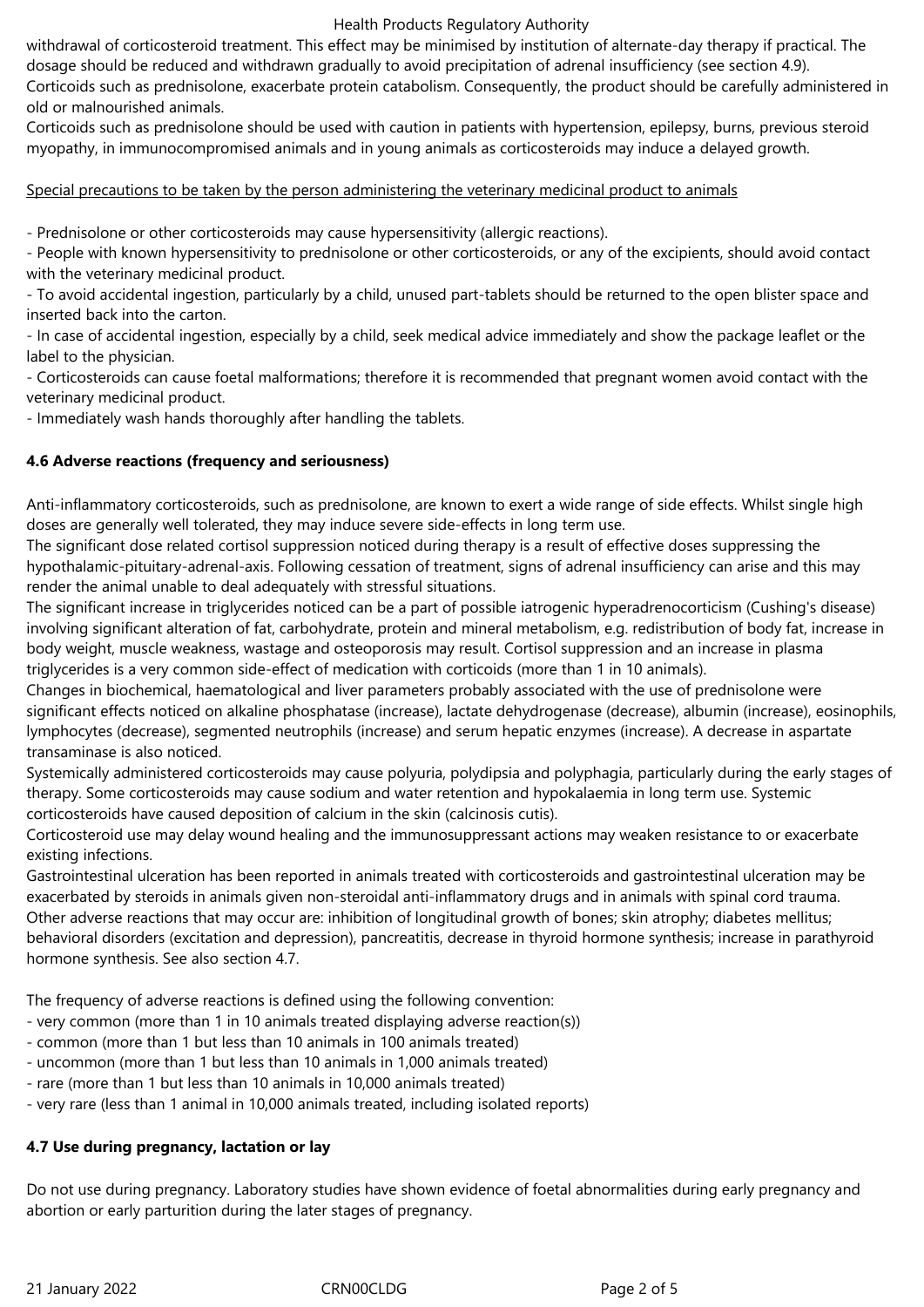#### Health Products Regulatory Authority

withdrawal of corticosteroid treatment. This effect may be minimised by institution of alternate-day therapy if practical. The dosage should be reduced and withdrawn gradually to avoid precipitation of adrenal insufficiency (see section 4.9).

Corticoids such as prednisolone, exacerbate protein catabolism. Consequently, the product should be carefully administered in old or malnourished animals.

Corticoids such as prednisolone should be used with caution in patients with hypertension, epilepsy, burns, previous steroid myopathy, in immunocompromised animals and in young animals as corticosteroids may induce a delayed growth.

## Special precautions to be taken by the person administering the veterinary medicinal product to animals

- Prednisolone or other corticosteroids may cause hypersensitivity (allergic reactions).

- People with known hypersensitivity to prednisolone or other corticosteroids, or any of the excipients, should avoid contact with the veterinary medicinal product.

- To avoid accidental ingestion, particularly by a child, unused part-tablets should be returned to the open blister space and inserted back into the carton.

- In case of accidental ingestion, especially by a child, seek medical advice immediately and show the package leaflet or the label to the physician.

- Corticosteroids can cause foetal malformations; therefore it is recommended that pregnant women avoid contact with the veterinary medicinal product.

- Immediately wash hands thoroughly after handling the tablets.

# **4.6 Adverse reactions (frequency and seriousness)**

Anti-inflammatory corticosteroids, such as prednisolone, are known to exert a wide range of side effects. Whilst single high doses are generally well tolerated, they may induce severe side-effects in long term use.

The significant dose related cortisol suppression noticed during therapy is a result of effective doses suppressing the hypothalamic-pituitary-adrenal-axis. Following cessation of treatment, signs of adrenal insufficiency can arise and this may render the animal unable to deal adequately with stressful situations.

The significant increase in triglycerides noticed can be a part of possible iatrogenic hyperadrenocorticism (Cushing's disease) involving significant alteration of fat, carbohydrate, protein and mineral metabolism, e.g. redistribution of body fat, increase in body weight, muscle weakness, wastage and osteoporosis may result. Cortisol suppression and an increase in plasma triglycerides is a very common side-effect of medication with corticoids (more than 1 in 10 animals).

Changes in biochemical, haematological and liver parameters probably associated with the use of prednisolone were significant effects noticed on alkaline phosphatase (increase), lactate dehydrogenase (decrease), albumin (increase), eosinophils, lymphocytes (decrease), segmented neutrophils (increase) and serum hepatic enzymes (increase). A decrease in aspartate transaminase is also noticed.

Systemically administered corticosteroids may cause polyuria, polydipsia and polyphagia, particularly during the early stages of therapy. Some corticosteroids may cause sodium and water retention and hypokalaemia in long term use. Systemic corticosteroids have caused deposition of calcium in the skin (calcinosis cutis).

Corticosteroid use may delay wound healing and the immunosuppressant actions may weaken resistance to or exacerbate existing infections.

Gastrointestinal ulceration has been reported in animals treated with corticosteroids and gastrointestinal ulceration may be exacerbated by steroids in animals given non-steroidal anti-inflammatory drugs and in animals with spinal cord trauma. Other adverse reactions that may occur are: inhibition of longitudinal growth of bones; skin atrophy; diabetes mellitus; behavioral disorders (excitation and depression), pancreatitis, decrease in thyroid hormone synthesis; increase in parathyroid hormone synthesis. See also section 4.7.

The frequency of adverse reactions is defined using the following convention:

- very common (more than 1 in 10 animals treated displaying adverse reaction(s))
- common (more than 1 but less than 10 animals in 100 animals treated)
- uncommon (more than 1 but less than 10 animals in 1,000 animals treated)
- rare (more than 1 but less than 10 animals in 10,000 animals treated)
- very rare (less than 1 animal in 10,000 animals treated, including isolated reports)

## **4.7 Use during pregnancy, lactation or lay**

Do not use during pregnancy. Laboratory studies have shown evidence of foetal abnormalities during early pregnancy and abortion or early parturition during the later stages of pregnancy.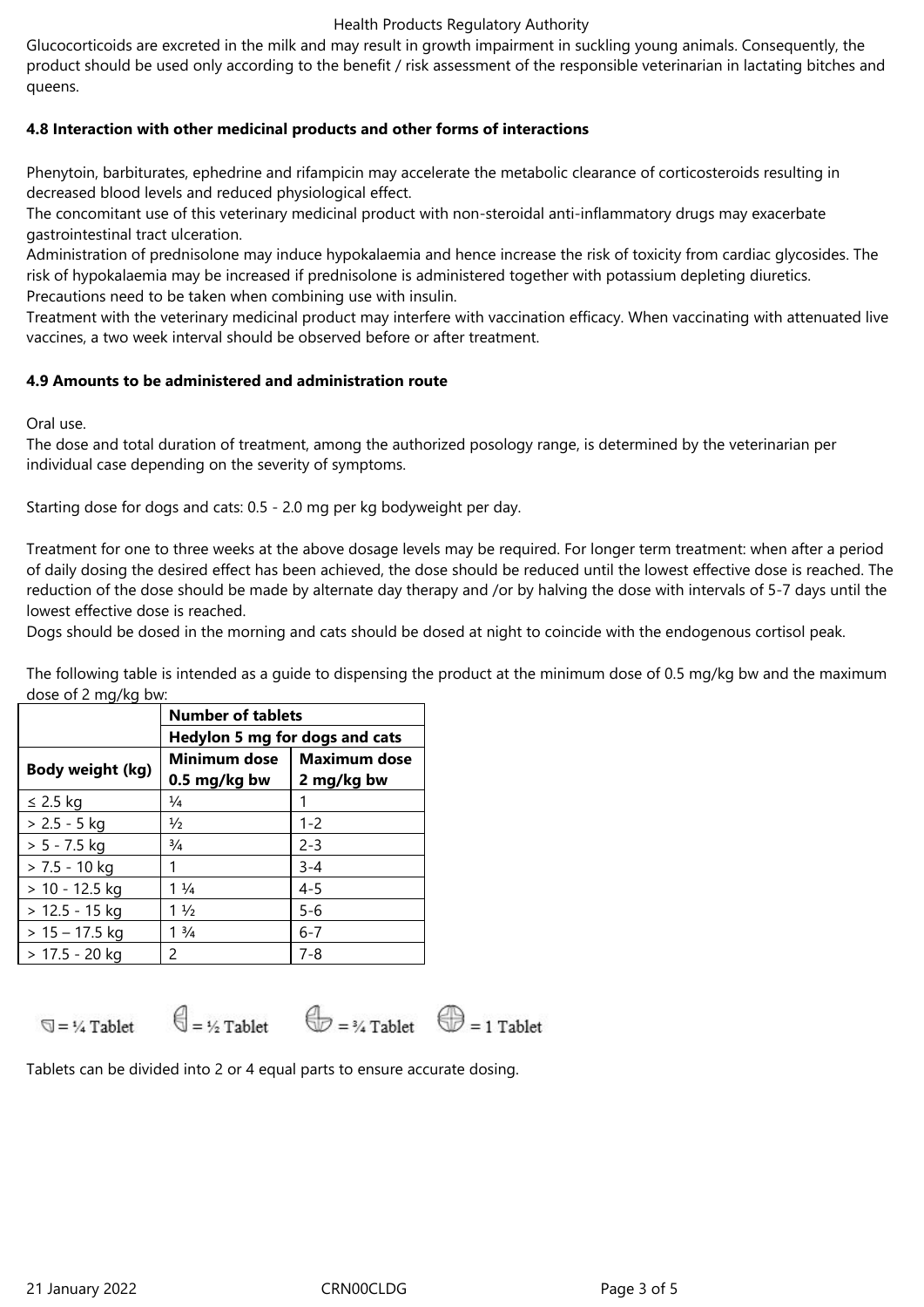#### Health Products Regulatory Authority

Glucocorticoids are excreted in the milk and may result in growth impairment in suckling young animals. Consequently, the product should be used only according to the benefit / risk assessment of the responsible veterinarian in lactating bitches and queens.

# **4.8 Interaction with other medicinal products and other forms of interactions**

Phenytoin, barbiturates, ephedrine and rifampicin may accelerate the metabolic clearance of corticosteroids resulting in decreased blood levels and reduced physiological effect.

The concomitant use of this veterinary medicinal product with non-steroidal anti-inflammatory drugs may exacerbate gastrointestinal tract ulceration.

Administration of prednisolone may induce hypokalaemia and hence increase the risk of toxicity from cardiac glycosides. The risk of hypokalaemia may be increased if prednisolone is administered together with potassium depleting diuretics. Precautions need to be taken when combining use with insulin.

Treatment with the veterinary medicinal product may interfere with vaccination efficacy. When vaccinating with attenuated live vaccines, a two week interval should be observed before or after treatment.

## **4.9 Amounts to be administered and administration route**

Oral use.

The dose and total duration of treatment, among the authorized posology range, is determined by the veterinarian per individual case depending on the severity of symptoms.

Starting dose for dogs and cats: 0.5 - 2.0 mg per kg bodyweight per day.

Treatment for one to three weeks at the above dosage levels may be required. For longer term treatment: when after a period of daily dosing the desired effect has been achieved, the dose should be reduced until the lowest effective dose is reached. The reduction of the dose should be made by alternate day therapy and /or by halving the dose with intervals of 5-7 days until the lowest effective dose is reached.

Dogs should be dosed in the morning and cats should be dosed at night to coincide with the endogenous cortisol peak.

The following table is intended as a guide to dispensing the product at the minimum dose of 0.5 mg/kg bw and the maximum dose of 2 mg/kg bw:

|                  | <b>Number of tablets</b>       |                     |
|------------------|--------------------------------|---------------------|
|                  | Hedylon 5 mg for dogs and cats |                     |
| Body weight (kg) | <b>Minimum dose</b>            | <b>Maximum dose</b> |
|                  | 0.5 mg/kg bw                   | 2 mg/kg bw          |
| $\leq$ 2.5 kg    | $\frac{1}{4}$                  |                     |
| $> 2.5 - 5$ kg   | $\frac{1}{2}$                  | $1 - 2$             |
| $> 5 - 7.5$ kg   | $\frac{3}{4}$                  | $2 - 3$             |
| $> 7.5 - 10$ kg  | 1                              | $3 - 4$             |
| $> 10 - 12.5$ kg | $1\frac{1}{4}$                 | $4 - 5$             |
| $> 12.5 - 15$ kg | $1\frac{1}{2}$                 | $5 - 6$             |
| $> 15 - 17.5$ kg | $1 \frac{3}{4}$                | $6 - 7$             |
| > 17.5 - 20 kg   | $\mathcal{P}$                  | $7 - 8$             |



Tablets can be divided into 2 or 4 equal parts to ensure accurate dosing.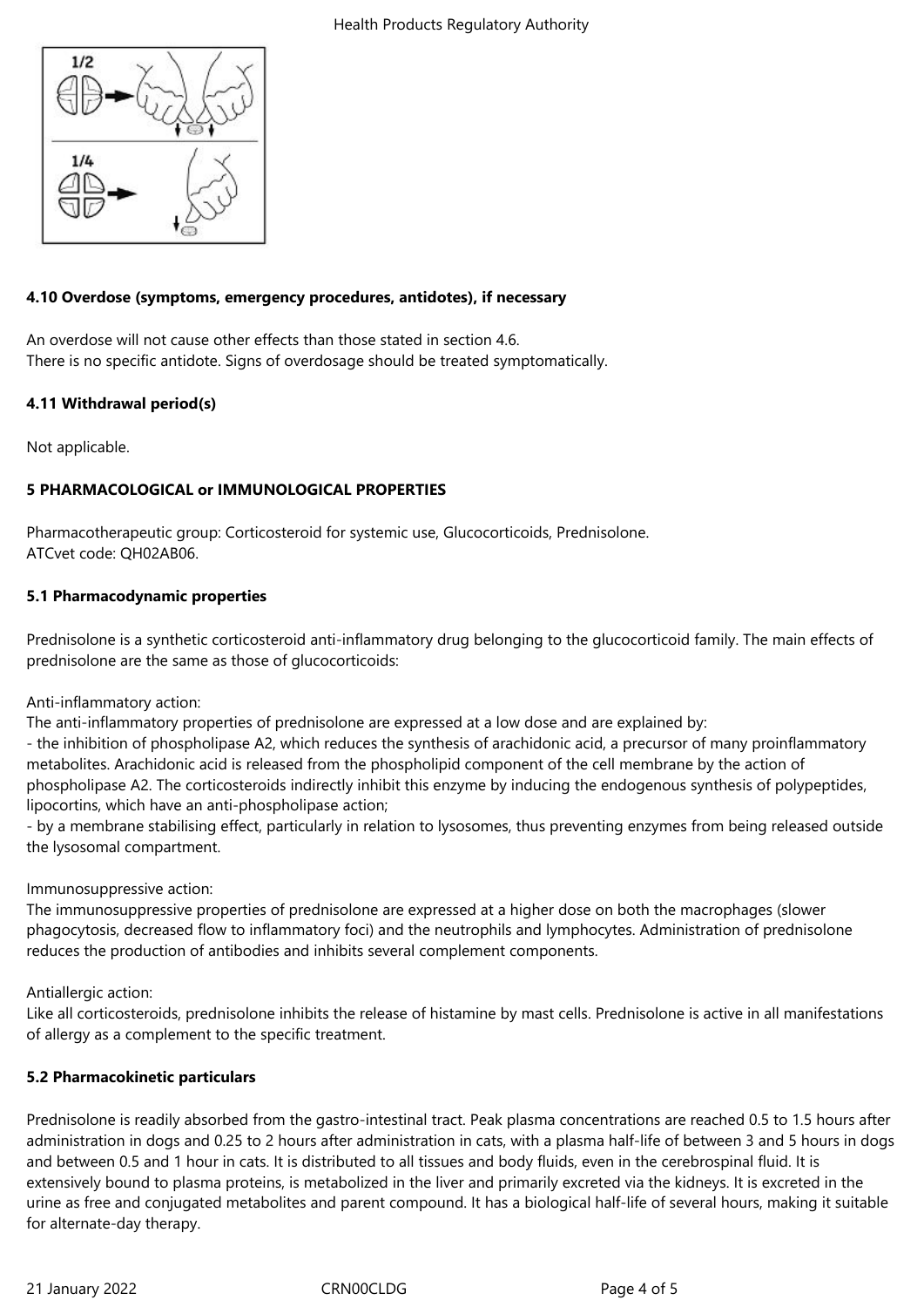

## **4.10 Overdose (symptoms, emergency procedures, antidotes), if necessary**

An overdose will not cause other effects than those stated in section 4.6. There is no specific antidote. Signs of overdosage should be treated symptomatically.

## **4.11 Withdrawal period(s)**

Not applicable.

# **5 PHARMACOLOGICAL or IMMUNOLOGICAL PROPERTIES**

Pharmacotherapeutic group: Corticosteroid for systemic use, Glucocorticoids, Prednisolone. ATCvet code: QH02AB06.

## **5.1 Pharmacodynamic properties**

Prednisolone is a synthetic corticosteroid anti-inflammatory drug belonging to the glucocorticoid family. The main effects of prednisolone are the same as those of glucocorticoids:

Anti-inflammatory action:

The anti-inflammatory properties of prednisolone are expressed at a low dose and are explained by:

- the inhibition of phospholipase A2, which reduces the synthesis of arachidonic acid, a precursor of many proinflammatory metabolites. Arachidonic acid is released from the phospholipid component of the cell membrane by the action of phospholipase A2. The corticosteroids indirectly inhibit this enzyme by inducing the endogenous synthesis of polypeptides, lipocortins, which have an anti-phospholipase action;

- by a membrane stabilising effect, particularly in relation to lysosomes, thus preventing enzymes from being released outside the lysosomal compartment.

## Immunosuppressive action:

The immunosuppressive properties of prednisolone are expressed at a higher dose on both the macrophages (slower phagocytosis, decreased flow to inflammatory foci) and the neutrophils and lymphocytes. Administration of prednisolone reduces the production of antibodies and inhibits several complement components.

Antiallergic action:

Like all corticosteroids, prednisolone inhibits the release of histamine by mast cells. Prednisolone is active in all manifestations of allergy as a complement to the specific treatment.

# **5.2 Pharmacokinetic particulars**

Prednisolone is readily absorbed from the gastro-intestinal tract. Peak plasma concentrations are reached 0.5 to 1.5 hours after administration in dogs and 0.25 to 2 hours after administration in cats, with a plasma half-life of between 3 and 5 hours in dogs and between 0.5 and 1 hour in cats. It is distributed to all tissues and body fluids, even in the cerebrospinal fluid. It is extensively bound to plasma proteins, is metabolized in the liver and primarily excreted via the kidneys. It is excreted in the urine as free and conjugated metabolites and parent compound. It has a biological half-life of several hours, making it suitable for alternate-day therapy.